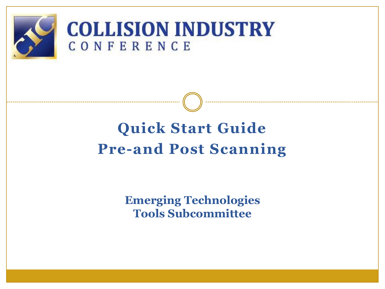

### **COLLISION INDUSTRY** CONFERENCE

## **Quick Start Guide Pre-and Post Scanning**

**Emerging Technologies Tools Subcommittee**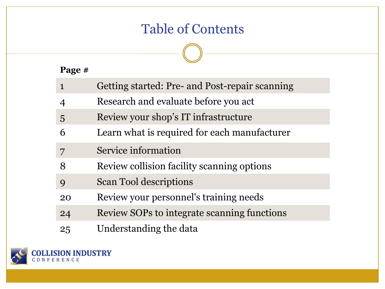### Table of Contents

**Page #**

|                | Getting started: Pre- and Post-repair scanning |
|----------------|------------------------------------------------|
| 4              | Research and evaluate before you act           |
| $\overline{5}$ | Review your shop's IT infrastructure           |
| 6              | Learn what is required for each manufacturer   |
|                | Service information                            |
| 8              | Review collision facility scanning options     |
| 9              | <b>Scan Tool descriptions</b>                  |
| 20             | Review your personnel's training needs         |
| 24             | Review SOPs to integrate scanning functions    |
| 25             | Understanding the data                         |

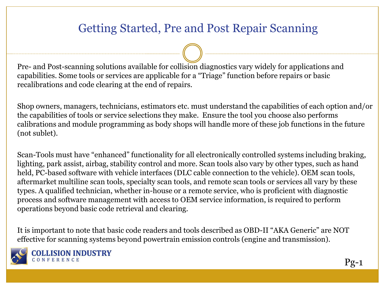#### Getting Started, Pre and Post Repair Scanning

Pre- and Post-scanning solutions available for collision diagnostics vary widely for applications and capabilities. Some tools or services are applicable for a "Triage" function before repairs or basic recalibrations and code clearing at the end of repairs.

Shop owners, managers, technicians, estimators etc. must understand the capabilities of each option and/or the capabilities of tools or service selections they make. Ensure the tool you choose also performs calibrations and module programming as body shops will handle more of these job functions in the future (not sublet).

Scan-Tools must have "enhanced" functionality for all electronically controlled systems including braking, lighting, park assist, airbag, stability control and more. Scan tools also vary by other types, such as hand held, PC-based software with vehicle interfaces (DLC cable connection to the vehicle). OEM scan tools, aftermarket multiline scan tools, specialty scan tools, and remote scan tools or services all vary by these types. A qualified technician, whether in-house or a remote service, who is proficient with diagnostic process and software management with access to OEM service information, is required to perform operations beyond basic code retrieval and clearing.

It is important to note that basic code readers and tools described as OBD-II "AKA Generic" are NOT effective for scanning systems beyond powertrain emission controls (engine and transmission).



**INDUSTRY**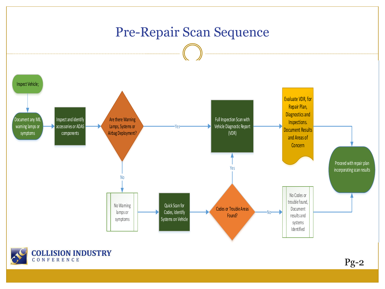



Pg-2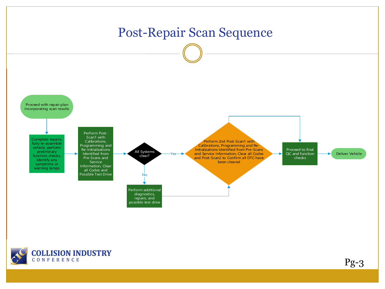

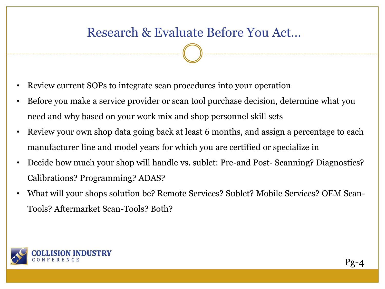#### Research & Evaluate Before You Act…

- Review current SOPs to integrate scan procedures into your operation
- Before you make a service provider or scan tool purchase decision, determine what you need and why based on your work mix and shop personnel skill sets
- Review your own shop data going back at least 6 months, and assign a percentage to each manufacturer line and model years for which you are certified or specialize in
- Decide how much your shop will handle vs. sublet: Pre-and Post- Scanning? Diagnostics? Calibrations? Programming? ADAS?
- What will your shops solution be? Remote Services? Sublet? Mobile Services? OEM Scan-Tools? Aftermarket Scan-Tools? Both?

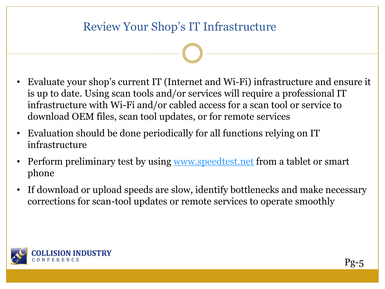#### Review Your Shop's IT Infrastructure

- Evaluate your shop's current IT (Internet and Wi-Fi) infrastructure and ensure it is up to date. Using scan tools and/or services will require a professional IT infrastructure with Wi-Fi and/or cabled access for a scan tool or service to download OEM files, scan tool updates, or for remote services
- Evaluation should be done periodically for all functions relying on IT infrastructure
- Perform preliminary test by using [www.speedtest.net](http://www.speedtest.net/) from a tablet or smart phone
- If download or upload speeds are slow, identify bottlenecks and make necessary corrections for scan-tool updates or remote services to operate smoothly

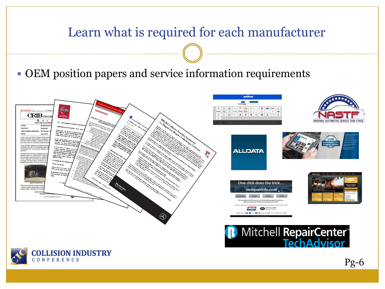# Learn what is required for each manufacturer OEM position papers and service information requirements  $CRIB$ <sub>cours</sub> **ALLDATA** One click does the trick... oerepairinfo.com **Mitchell RepairCenter<sup>®</sup>**<br>TechAdvisor **OLLISION INDUSTRY** ONFERENCE Pg-6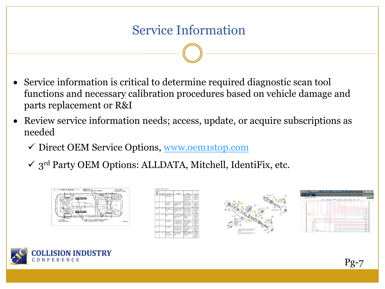- Service information is critical to determine required diagnostic scan tool functions and necessary calibration procedures based on vehicle damage and parts replacement or R&I
- Review service information needs; access, update, or acquire subscriptions as needed
	- ✓ Direct OEM Service Options, [www.oem1stop.com](http://www.oem1stop.com/)
	- $\checkmark$  3<sup>rd</sup> Party OEM Options: ALLDATA, Mitchell, IdentiFix, etc.









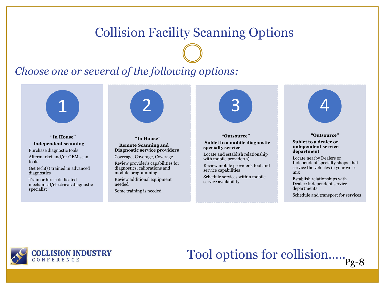#### Collision Facility Scanning Options

#### *Choose one or several of the following options:*



**"In House" Independent scanning** Purchase diagnostic tools Aftermarket and/or OEM scan tools

Get tech(s) trained in advanced diagnostics

Train or hire a dedicated mechanical/electrical/diagnostic specialist



#### **"In House" Remote Scanning and Diagnostic service providers**

Coverage, Coverage, Coverage

Review provider's capabilities for diagnostics, calibrations and module programming

Review additional equipment needed

Some training is needed



**"Outsource" Sublet to a mobile diagnostic specialty service**

Locate and establish relationship with mobile provider(s)

Review mobile provider's tool and service capabilities

Schedule services within mobile service availability



#### **"Outsource"**

#### **independent service**<br> **department**<br>
Locate nearby Dealers o **Sublet to a dealer or department**

Locate nearby Dealers or Independent specialty shops that service the vehicles in your work mix

Establish relationships with Dealer/Independent service departments

Schedule and transport for services

**OLLISION INDUSTRY** ONFERENCE

# Tool options for collision...... Pg-8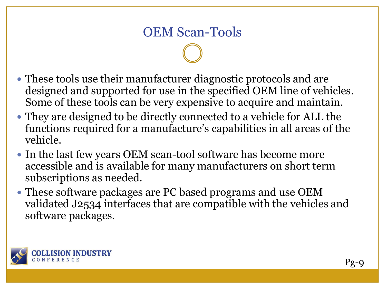- These tools use their manufacturer diagnostic protocols and are designed and supported for use in the specified OEM line of vehicles. Some of these tools can be very expensive to acquire and maintain.
- They are designed to be directly connected to a vehicle for ALL the functions required for a manufacture's capabilities in all areas of the vehicle.
- In the last few years OEM scan-tool software has become more accessible and is available for many manufacturers on short term subscriptions as needed.
- These software packages are PC based programs and use OEM validated J2534 interfaces that are compatible with the vehicles and software packages.

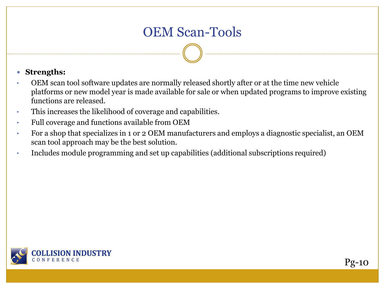#### OEM Scan-Tools

#### **Strengths:**

- OEM scan tool software updates are normally released shortly after or at the time new vehicle platforms or new model year is made available for sale or when updated programs to improve existing functions are released.
- This increases the likelihood of coverage and capabilities.
- Full coverage and functions available from OEM
- For a shop that specializes in 1 or 2 OEM manufacturers and employs a diagnostic specialist, an OEM scan tool approach may be the best solution.
- Includes module programming and set up capabilities (additional subscriptions required)

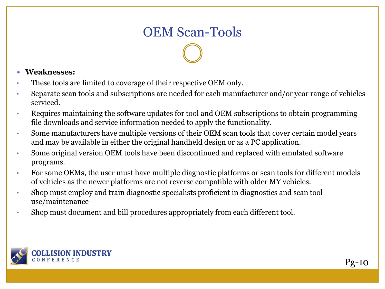#### OEM Scan-Tools

#### **Weaknesses:**

- These tools are limited to coverage of their respective OEM only.
- Separate scan tools and subscriptions are needed for each manufacturer and/or year range of vehicles serviced.
- Requires maintaining the software updates for tool and OEM subscriptions to obtain programming file downloads and service information needed to apply the functionality.
- Some manufacturers have multiple versions of their OEM scan tools that cover certain model years and may be available in either the original handheld design or as a PC application.
- Some original version OEM tools have been discontinued and replaced with emulated software programs.
- For some OEMs, the user must have multiple diagnostic platforms or scan tools for different models of vehicles as the newer platforms are not reverse compatible with older MY vehicles.
- Shop must employ and train diagnostic specialists proficient in diagnostics and scan tool use/maintenance
- Shop must document and bill procedures appropriately from each different tool.

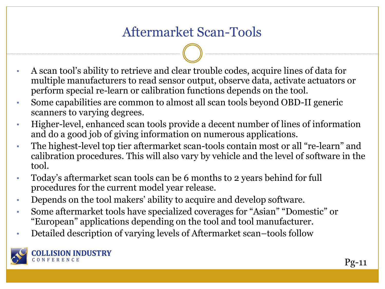### Aftermarket Scan-Tools

- A scan tool's ability to retrieve and clear trouble codes, acquire lines of data for multiple manufacturers to read sensor output, observe data, activate actuators or perform special re-learn or calibration functions depends on the tool.
- Some capabilities are common to almost all scan tools beyond OBD-II generic scanners to varying degrees.
- Higher-level, enhanced scan tools provide a decent number of lines of information and do a good job of giving information on numerous applications.
- The highest-level top tier aftermarket scan-tools contain most or all "re-learn" and calibration procedures. This will also vary by vehicle and the level of software in the tool.
- Today's aftermarket scan tools can be 6 months to 2 years behind for full procedures for the current model year release.
- Depends on the tool makers' ability to acquire and develop software.
- Some aftermarket tools have specialized coverages for "Asian" "Domestic" or "European" applications depending on the tool and tool manufacturer.
- Detailed description of varying levels of Aftermarket scan–tools follow

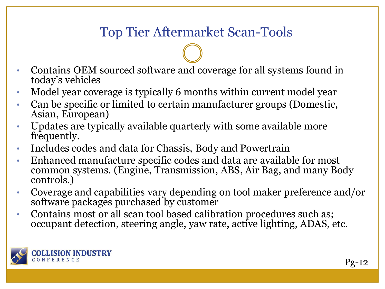### Top Tier Aftermarket Scan-Tools

- Contains OEM sourced software and coverage for all systems found in today's vehicles
- Model year coverage is typically 6 months within current model year
- Can be specific or limited to certain manufacturer groups (Domestic, Asian, European)
- Updates are typically available quarterly with some available more frequently.
- Includes codes and data for Chassis, Body and Powertrain
- Enhanced manufacture specific codes and data are available for most common systems. (Engine, Transmission, ABS, Air Bag, and many Body controls.)
- Coverage and capabilities vary depending on tool maker preference and/or software packages purchased by customer
- Contains most or all scan tool based calibration procedures such as; occupant detection, steering angle, yaw rate, active lighting, ADAS, etc.

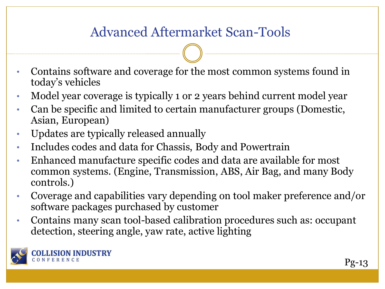### Advanced Aftermarket Scan-Tools

- Contains software and coverage for the most common systems found in today's vehicles
- Model year coverage is typically 1 or 2 years behind current model year
- Can be specific and limited to certain manufacturer groups (Domestic, Asian, European)
- Updates are typically released annually
- Includes codes and data for Chassis, Body and Powertrain
- Enhanced manufacture specific codes and data are available for most common systems. (Engine, Transmission, ABS, Air Bag, and many Body controls.)
- Coverage and capabilities vary depending on tool maker preference and/or software packages purchased by customer
- Contains many scan tool-based calibration procedures such as: occupant detection, steering angle, yaw rate, active lighting

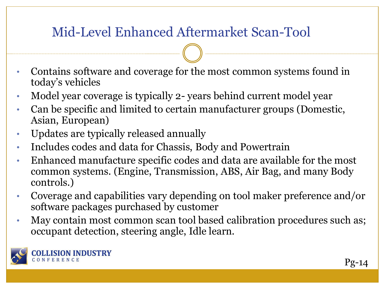### Mid-Level Enhanced Aftermarket Scan-Tool

- Contains software and coverage for the most common systems found in today's vehicles
- Model year coverage is typically 2- years behind current model year
- Can be specific and limited to certain manufacturer groups (Domestic, Asian, European)
- Updates are typically released annually
- Includes codes and data for Chassis, Body and Powertrain
- Enhanced manufacture specific codes and data are available for the most common systems. (Engine, Transmission, ABS, Air Bag, and many Body controls.)
- Coverage and capabilities vary depending on tool maker preference and/or software packages purchased by customer
- May contain most common scan tool based calibration procedures such as; occupant detection, steering angle, Idle learn.

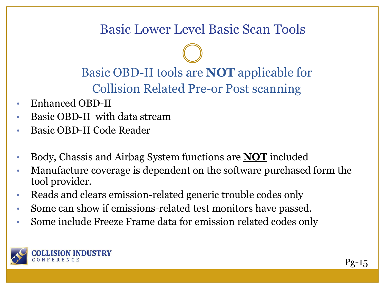### Basic Lower Level Basic Scan Tools

Basic OBD-II tools are **NOT** applicable for Collision Related Pre-or Post scanning

- Enhanced OBD-II
- Basic OBD-II with data stream
- Basic OBD-II Code Reader
- Body, Chassis and Airbag System functions are **NOT** included
- Manufacture coverage is dependent on the software purchased form the tool provider.
- Reads and clears emission-related generic trouble codes only
- Some can show if emissions-related test monitors have passed.
- Some include Freeze Frame data for emission related codes only

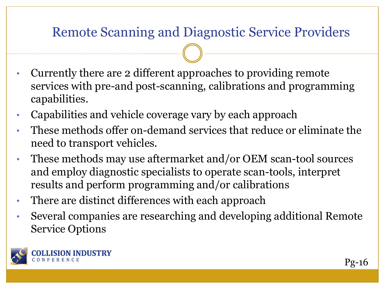### Remote Scanning and Diagnostic Service Providers

- Currently there are 2 different approaches to providing remote services with pre-and post-scanning, calibrations and programming capabilities.
- Capabilities and vehicle coverage vary by each approach
- These methods offer on-demand services that reduce or eliminate the need to transport vehicles.
- These methods may use aftermarket and/or OEM scan-tool sources and employ diagnostic specialists to operate scan-tools, interpret results and perform programming and/or calibrations
- There are distinct differences with each approach
- Several companies are researching and developing additional Remote Service Options

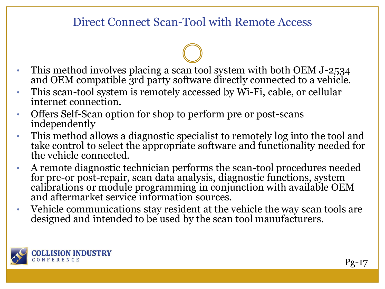#### Direct Connect Scan-Tool with Remote Access

- This method involves placing a scan tool system with both OEM J-2534 and OEM compatible 3rd party software directly connected to a vehicle.
- This scan-tool system is remotely accessed by Wi-Fi, cable, or cellular internet connection.
- Offers Self-Scan option for shop to perform pre or post-scans independently
- This method allows a diagnostic specialist to remotely log into the tool and take control to select the appropriate software and functionality needed for the vehicle connected.
- A remote diagnostic technician performs the scan-tool procedures needed for pre-or post-repair, scan data analysis, diagnostic functions, system calibrations or module programming in conjunction with available OEM and aftermarket service information sources.
- Vehicle communications stay resident at the vehicle the way scan tools are designed and intended to be used by the scan tool manufacturers.

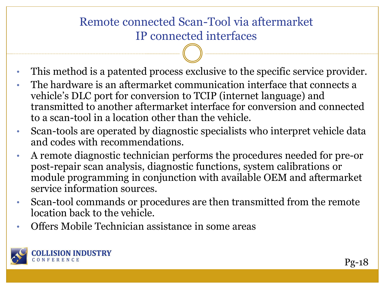#### Remote connected Scan-Tool via aftermarket IP connected interfaces

- This method is a patented process exclusive to the specific service provider.
- The hardware is an aftermarket communication interface that connects a vehicle's DLC port for conversion to TCIP (internet language) and transmitted to another aftermarket interface for conversion and connected to a scan-tool in a location other than the vehicle.
- Scan-tools are operated by diagnostic specialists who interpret vehicle data and codes with recommendations.
- A remote diagnostic technician performs the procedures needed for pre-or post-repair scan analysis, diagnostic functions, system calibrations or module programming in conjunction with available OEM and aftermarket service information sources.
- Scan-tool commands or procedures are then transmitted from the remote location back to the vehicle.
- Offers Mobile Technician assistance in some areas

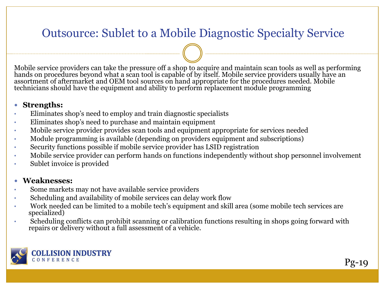#### Outsource: Sublet to a Mobile Diagnostic Specialty Service

Mobile service providers can take the pressure off a shop to acquire and maintain scan tools as well as performing hands on procedures beyond what a scan tool is capable of by itself. Mobile service providers usually have an assortment of aftermarket and OEM tool sources on hand appropriate for the procedures needed. Mobile technicians should have the equipment and ability to perform replacement module programming

#### **Strengths:**

- Eliminates shop's need to employ and train diagnostic specialists
- Eliminates shop's need to purchase and maintain equipment
- Mobile service provider provides scan tools and equipment appropriate for services needed
- Module programming is available (depending on providers equipment and subscriptions)
- Security functions possible if mobile service provider has LSID registration
- Mobile service provider can perform hands on functions independently without shop personnel involvement
- Sublet invoice is provided

#### **Weaknesses:**

- Some markets may not have available service providers
- Scheduling and availability of mobile services can delay work flow
- Work needed can be limited to a mobile tech's equipment and skill area (some mobile tech services are specialized)
- Scheduling conflicts can prohibit scanning or calibration functions resulting in shops going forward with repairs or delivery without a full assessment of a vehicle.

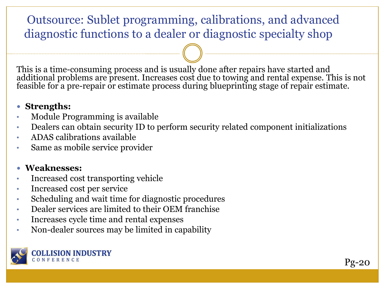#### Outsource: Sublet programming, calibrations, and advanced diagnostic functions to a dealer or diagnostic specialty shop

This is a time-consuming process and is usually done after repairs have started and additional problems are present. Increases cost due to towing and rental expense. This is not feasible for a pre-repair or estimate process during blueprinting stage of repair estimate.

#### **Strengths:**

- Module Programming is available
- Dealers can obtain security ID to perform security related component initializations
- ADAS calibrations available
- Same as mobile service provider

#### **Weaknesses:**

- Increased cost transporting vehicle
- Increased cost per service
- Scheduling and wait time for diagnostic procedures
- Dealer services are limited to their OEM franchise
- Increases cycle time and rental expenses
- Non-dealer sources may be limited in capability

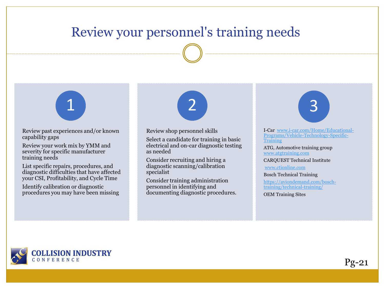#### Review your personnel's training needs



Review past experiences and/or known capability gaps

Review your work mix by YMM and severity for specific manufacturer training needs

List specific repairs, procedures, and diagnostic difficulties that have affected your CSI, Profitability, and Cycle Time

Identify calibration or diagnostic procedures you may have been missing

1 (2) 3

Review shop personnel skills

Select a candidate for training in basic electrical and on-car diagnostic testing as needed

Consider recruiting and hiring a diagnostic scanning/calibration specialist

Consider training administration personnel in identifying and documenting diagnostic procedures.

I-Car www.i-car.com/Home/Educational-[Programs/Vehicle-Technology-Specific-](http://www.i-car.com/Home/Educational-Programs/Vehicle-Technology-Specific-Training)Training

ATG, Automotive training group [www.atgtraining.com](http://www.atgtraining.com/)

CARQUEST Technical Institute

[www.ctionline.com](http://www.ctionline.com/)

Bosch Technical Training

[https://aviondemand.com/bosch](https://aviondemand.com/bosch-training/technical-training/)training/technical-training/

OEM Training Sites



Pg-21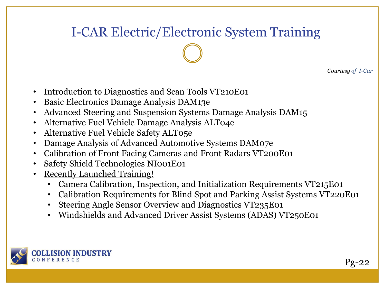### I-CAR Electric/Electronic System Training

*Courtesy of I-Car*

- Introduction to Diagnostics and Scan Tools VT210E01
- Basic Electronics Damage Analysis DAM13e
- Advanced Steering and Suspension Systems Damage Analysis DAM15
- Alternative Fuel Vehicle Damage Analysis ALT04e
- Alternative Fuel Vehicle Safety ALT05e
- Damage Analysis of Advanced Automotive Systems DAM07e
- Calibration of Front Facing Cameras and Front Radars VT200E01
- Safety Shield Technologies NI001E01
- Recently Launched Training!
	- Camera Calibration, Inspection, and Initialization Requirements VT215E01
	- Calibration Requirements for Blind Spot and Parking Assist Systems VT220E01
	- Steering Angle Sensor Overview and Diagnostics VT235E01
	- Windshields and Advanced Driver Assist Systems (ADAS) VT250E01

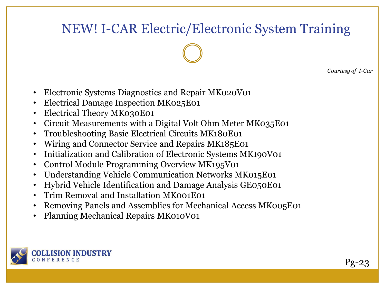### NEW! I-CAR Electric/Electronic System Training

*Courtesy of I-Car*

- Electronic Systems Diagnostics and Repair MK020V01
- Electrical Damage Inspection MK025E01
- Electrical Theory MK030E01
- Circuit Measurements with a Digital Volt Ohm Meter MK035E01
- Troubleshooting Basic Electrical Circuits MK180E01
- Wiring and Connector Service and Repairs MK185E01
- Initialization and Calibration of Electronic Systems MK190V01
- Control Module Programming Overview MK195V01
- Understanding Vehicle Communication Networks MK015E01
- Hybrid Vehicle Identification and Damage Analysis GE050E01
- Trim Removal and Installation MK001E01
- Removing Panels and Assemblies for Mechanical Access MK005E01
- Planning Mechanical Repairs MK010V01



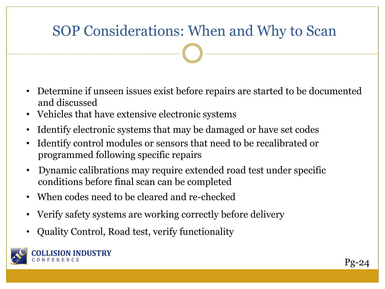## SOP Considerations: When and Why to Scan

- Determine if unseen issues exist before repairs are started to be documented and discussed
- Vehicles that have extensive electronic systems
- Identify electronic systems that may be damaged or have set codes
- Identify control modules or sensors that need to be recalibrated or programmed following specific repairs
- Dynamic calibrations may require extended road test under specific conditions before final scan can be completed
- When codes need to be cleared and re-checked
- Verify safety systems are working correctly before delivery
- Quality Control, Road test, verify functionality